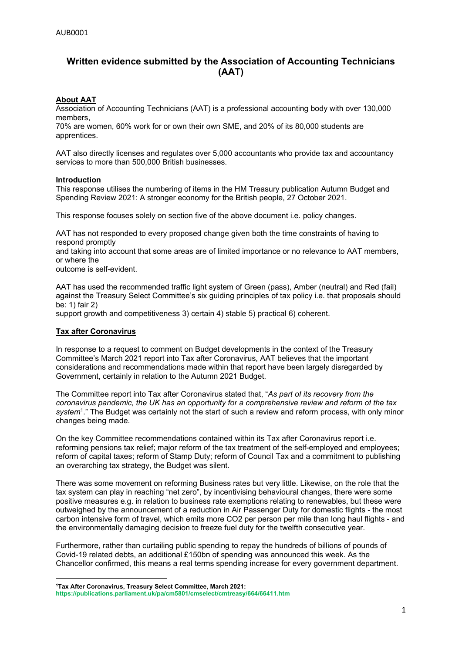# **Written evidence submitted by the Association of Accounting Technicians (AAT)**

# **About AAT**

Association of Accounting Technicians (AAT) is a professional accounting body with over 130,000 members,

70% are women, 60% work for or own their own SME, and 20% of its 80,000 students are apprentices.

AAT also directly licenses and regulates over 5,000 accountants who provide tax and accountancy services to more than 500,000 British businesses.

### **Introduction**

This response utilises the numbering of items in the HM Treasury publication Autumn Budget and Spending Review 2021: A stronger economy for the British people, 27 October 2021.

This response focuses solely on section five of the above document i.e. policy changes.

AAT has not responded to every proposed change given both the time constraints of having to respond promptly

and taking into account that some areas are of limited importance or no relevance to AAT members, or where the

outcome is self-evident.

AAT has used the recommended traffic light system of Green (pass), Amber (neutral) and Red (fail) against the Treasury Select Committee's six guiding principles of tax policy i.e. that proposals should be: 1) fair 2)

support growth and competitiveness 3) certain 4) stable 5) practical 6) coherent.

# **Tax after Coronavirus**

In response to a request to comment on Budget developments in the context of the Treasury Committee's March 2021 report into Tax after Coronavirus, AAT believes that the important considerations and recommendations made within that report have been largely disregarded by Government, certainly in relation to the Autumn 2021 Budget.

The Committee report into Tax after Coronavirus stated that, "*As part of its recovery from the coronavirus pandemic, the UK has an opportunity for a comprehensive review and reform of the tax* system<sup>1</sup>." The Budget was certainly not the start of such a review and reform process, with only minor changes being made.

On the key Committee recommendations contained within its Tax after Coronavirus report i.e. reforming pensions tax relief; major reform of the tax treatment of the self-employed and employees; reform of capital taxes; reform of Stamp Duty; reform of Council Tax and a commitment to publishing an overarching tax strategy, the Budget was silent.

There was some movement on reforming Business rates but very little. Likewise, on the role that the tax system can play in reaching "net zero", by incentivising behavioural changes, there were some positive measures e.g. in relation to business rate exemptions relating to renewables, but these were outweighed by the announcement of a reduction in Air Passenger Duty for domestic flights - the most carbon intensive form of travel, which emits more CO2 per person per mile than long haul flights - and the environmentally damaging decision to freeze fuel duty for the twelfth consecutive year.

Furthermore, rather than curtailing public spending to repay the hundreds of billions of pounds of Covid-19 related debts, an additional £150bn of spending was announced this week. As the Chancellor confirmed, this means a real terms spending increase for every government department.

**<sup>1</sup>Tax After Coronavirus, Treasury Select Committee, March 2021:**

**<https://publications.parliament.uk/pa/cm5801/cmselect/cmtreasy/664/66411.htm>**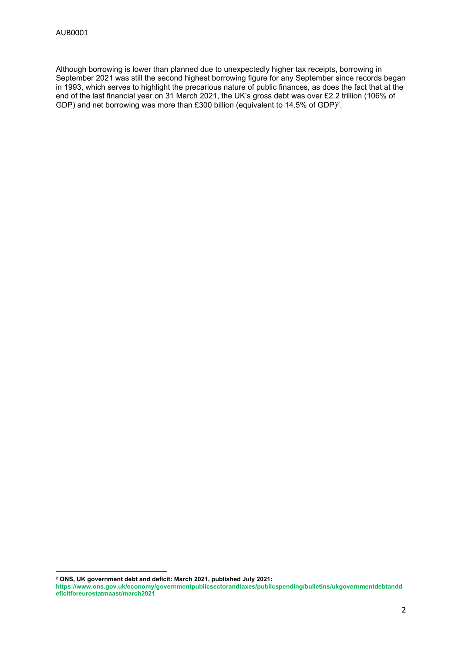Although borrowing is lower than planned due to unexpectedly higher tax receipts, borrowing in September 2021 was still the second highest borrowing figure for any September since records began in 1993, which serves to highlight the precarious nature of public finances, as does the fact that at the end of the last financial year on 31 March 2021, the UK's gross debt was over £2.2 trillion (106% of GDP) and net borrowing was more than £300 billion (equivalent to 14.5% of GDP)<sup>2</sup>.

**<sup>2</sup> ONS, UK government debt and deficit: March 2021, published July 2021:**

**[https://www.ons.gov.uk/economy/governmentpublicsectorandtaxes/publicspending/bulletins/ukgovernmentdebtandd](https://www.ons.gov.uk/economy/governmentpublicsectorandtaxes/publicspending/bulletins/ukgovernmentdebtanddeficitforeurostatmaast/march2021) [eficitforeurostatmaast/march2021](https://www.ons.gov.uk/economy/governmentpublicsectorandtaxes/publicspending/bulletins/ukgovernmentdebtanddeficitforeurostatmaast/march2021)**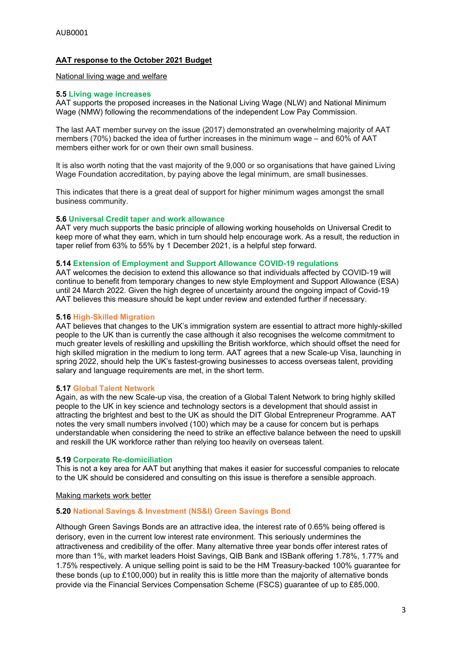# **AAT response to the October 2021 Budget**

# National living wage and welfare

#### **5.5 Living wage increases**

AAT supports the proposed increases in the National Living Wage (NLW) and National Minimum Wage (NMW) following the recommendations of the independent Low Pay Commission.

The last AAT member survey on the issue (2017) demonstrated an overwhelming majority of AAT members (70%) backed the idea of further increases in the minimum wage – and 60% of AAT members either work for or own their own small business.

It is also worth noting that the vast majority of the 9,000 or so organisations that have gained Living Wage Foundation accreditation, by paying above the legal minimum, are small businesses.

This indicates that there is a great deal of support for higher minimum wages amongst the small business community.

#### **5.6 Universal Credit taper and work allowance**

AAT very much supports the basic principle of allowing working households on Universal Credit to keep more of what they earn, which in turn should help encourage work. As a result, the reduction in taper relief from 63% to 55% by 1 December 2021, is a helpful step forward.

#### **5.14 Extension of Employment and Support Allowance COVID-19 regulations**

AAT welcomes the decision to extend this allowance so that individuals affected by COVID-19 will continue to benefit from temporary changes to new style Employment and Support Allowance (ESA) until 24 March 2022. Given the high degree of uncertainty around the ongoing impact of Covid-19 AAT believes this measure should be kept under review and extended further if necessary.

#### **5.16 High-Skilled Migration**

AAT believes that changes to the UK's immigration system are essential to attract more highly-skilled people to the UK than is currently the case although it also recognises the welcome commitment to much greater levels of reskilling and upskilling the British workforce, which should offset the need for high skilled migration in the medium to long term. AAT agrees that a new Scale-up Visa, launching in spring 2022, should help the UK's fastest-growing businesses to access overseas talent, providing salary and language requirements are met, in the short term.

### **5.17 Global Talent Network**

Again, as with the new Scale-up visa, the creation of a Global Talent Network to bring highly skilled people to the UK in key science and technology sectors is a development that should assist in attracting the brightest and best to the UK as should the DIT Global Entrepreneur Programme. AAT notes the very small numbers involved (100) which may be a cause for concern but is perhaps understandable when considering the need to strike an effective balance between the need to upskill and reskill the UK workforce rather than relying too heavily on overseas talent.

#### **5.19 Corporate Re-domiciliation**

This is not a key area for AAT but anything that makes it easier for successful companies to relocate to the UK should be considered and consulting on this issue is therefore a sensible approach.

#### Making markets work better

### **5.20 National Savings & Investment (NS&I) Green Savings Bond**

Although Green Savings Bonds are an attractive idea, the interest rate of 0.65% being offered is derisory, even in the current low interest rate environment. This seriously undermines the attractiveness and credibility of the offer. Many alternative three year bonds offer interest rates of more than 1%, with market leaders Hoist Savings, QIB Bank and ISBank offering 1.78%, 1.77% and 1.75% respectively. A unique selling point is said to be the HM Treasury-backed 100% guarantee for these bonds (up to £100,000) but in reality this is little more than the majority of alternative bonds provide via the Financial Services Compensation Scheme (FSCS) guarantee of up to £85,000.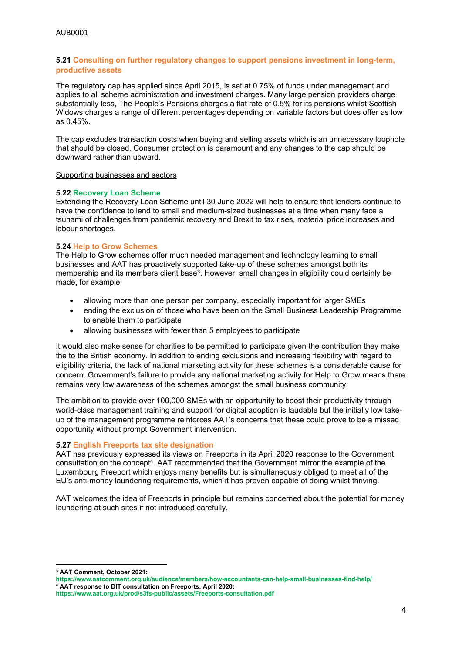# **5.21 Consulting on further regulatory changes to support pensions investment in long-term, productive assets**

The regulatory cap has applied since April 2015, is set at 0.75% of funds under management and applies to all scheme administration and investment charges. Many large pension providers charge substantially less, The People's Pensions charges a flat rate of 0.5% for its pensions whilst Scottish Widows charges a range of different percentages depending on variable factors but does offer as low as 0.45%.

The cap excludes transaction costs when buying and selling assets which is an unnecessary loophole that should be closed. Consumer protection is paramount and any changes to the cap should be downward rather than upward.

#### Supporting businesses and sectors

### **5.22 Recovery Loan Scheme**

Extending the Recovery Loan Scheme until 30 June 2022 will help to ensure that lenders continue to have the confidence to lend to small and medium-sized businesses at a time when many face a tsunami of challenges from pandemic recovery and Brexit to tax rises, material price increases and labour shortages.

### **5.24 Help to Grow Schemes**

The Help to Grow schemes offer much needed management and technology learning to small businesses and AAT has proactively supported take-up of these schemes amongst both its membership and its members client base<sup>3</sup>. However, small changes in eligibility could certainly be made, for example;

- allowing more than one person per company, especially important for larger SMEs
- ending the exclusion of those who have been on the Small Business Leadership Programme to enable them to participate
- allowing businesses with fewer than 5 employees to participate

It would also make sense for charities to be permitted to participate given the contribution they make the to the British economy. In addition to ending exclusions and increasing flexibility with regard to eligibility criteria, the lack of national marketing activity for these schemes is a considerable cause for concern. Government's failure to provide any national marketing activity for Help to Grow means there remains very low awareness of the schemes amongst the small business community.

The ambition to provide over 100,000 SMEs with an opportunity to boost their productivity through world-class management training and support for digital adoption is laudable but the initially low takeup of the management programme reinforces AAT's concerns that these could prove to be a missed opportunity without prompt Government intervention.

### **5.27 English Freeports tax site designation**

AAT has previously expressed its views on Freeports in its April 2020 response to the Government consultation on the concept<sup>4</sup>. AAT recommended that the Government mirror the example of the Luxembourg Freeport which enjoys many benefits but is simultaneously obliged to meet all of the EU's anti-money laundering requirements, which it has proven capable of doing whilst thriving.

AAT welcomes the idea of Freeports in principle but remains concerned about the potential for money laundering at such sites if not introduced carefully.

**<sup>3</sup> AAT Comment, October 2021:**

**<https://www.aatcomment.org.uk/audience/members/how-accountants-can-help-small-businesses-find-help/> <sup>4</sup> AAT response to DIT consultation on Freeports, April 2020:**

**<https://www.aat.org.uk/prod/s3fs-public/assets/Freeports-consultation.pdf>**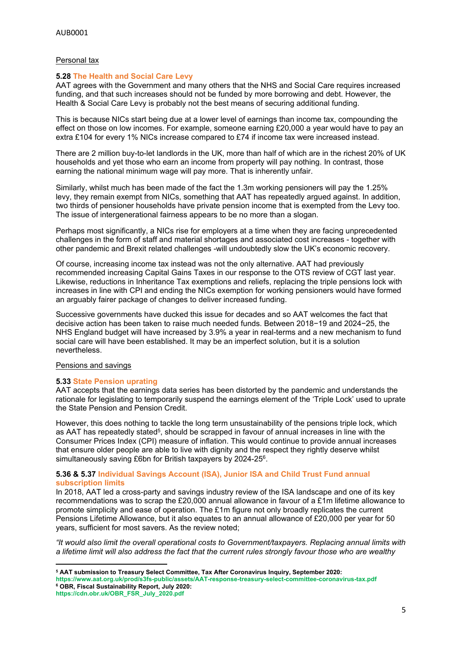# Personal tax

# **5.28 The Health and Social Care Levy**

AAT agrees with the Government and many others that the NHS and Social Care requires increased funding, and that such increases should not be funded by more borrowing and debt. However, the Health & Social Care Levy is probably not the best means of securing additional funding.

This is because NICs start being due at a lower level of earnings than income tax, compounding the effect on those on low incomes. For example, someone earning £20,000 a year would have to pay an extra £104 for every 1% NICs increase compared to £74 if income tax were increased instead.

There are 2 million buy-to-let landlords in the UK, more than half of which are in the richest 20% of UK households and yet those who earn an income from property will pay nothing. In contrast, those earning the national minimum wage will pay more. That is inherently unfair.

Similarly, whilst much has been made of the fact the 1.3m working pensioners will pay the 1.25% levy, they remain exempt from NICs, something that AAT has repeatedly argued against. In addition, two thirds of pensioner households have private pension income that is exempted from the Levy too. The issue of intergenerational fairness appears to be no more than a slogan.

Perhaps most significantly, a NICs rise for employers at a time when they are facing unprecedented challenges in the form of staff and material shortages and associated cost increases - together with other pandemic and Brexit related challenges -will undoubtedly slow the UK's economic recovery.

Of course, increasing income tax instead was not the only alternative. AAT had previously recommended increasing Capital Gains Taxes in our response to the OTS review of CGT last year. Likewise, reductions in Inheritance Tax exemptions and reliefs, replacing the triple pensions lock with increases in line with CPI and ending the NICs exemption for working pensioners would have formed an arguably fairer package of changes to deliver increased funding.

Successive governments have ducked this issue for decades and so AAT welcomes the fact that decisive action has been taken to raise much needed funds. Between 2018−19 and 2024−25, the NHS England budget will have increased by 3.9% a year in real-terms and a new mechanism to fund social care will have been established. It may be an imperfect solution, but it is a solution nevertheless.

### Pensions and savings

# **5.33 State Pension uprating**

AAT accepts that the earnings data series has been distorted by the pandemic and understands the rationale for legislating to temporarily suspend the earnings element of the 'Triple Lock' used to uprate the State Pension and Pension Credit.

However, this does nothing to tackle the long term unsustainability of the pensions triple lock, which as AAT has repeatedly stated<sup>5</sup>, should be scrapped in favour of annual increases in line with the Consumer Prices Index (CPI) measure of inflation. This would continue to provide annual increases that ensure older people are able to live with dignity and the respect they rightly deserve whilst simultaneously saving £6bn for British taxpayers by 2024-25<sup>6</sup>.

### **5.36 & 5.37 Individual Savings Account (ISA), Junior ISA and Child Trust Fund annual subscription limits**

In 2018, AAT led a cross-party and savings industry review of the ISA landscape and one of its key recommendations was to scrap the £20,000 annual allowance in favour of a £1m lifetime allowance to promote simplicity and ease of operation. The £1m figure not only broadly replicates the current Pensions Lifetime Allowance, but it also equates to an annual allowance of £20,000 per year for 50 years, sufficient for most savers. As the review noted;

*"It would also limit the overall operational costs to Government/taxpayers. Replacing annual limits with* a lifetime limit will also address the fact that the current rules strongly fayour those who are wealthy

**<sup>5</sup> AAT submission to Treasury Select Committee, Tax After Coronavirus Inquiry, September 2020:**

**<https://www.aat.org.uk/prod/s3fs-public/assets/AAT-response-treasury-select-committee-coronavirus-tax.pdf> <sup>6</sup> OBR, Fiscal Sustainability Report, July 2020:**

**[https://cdn.obr.uk/OBR\\_FSR\\_July\\_2020.pdf](https://cdn.obr.uk/OBR_FSR_July_2020.pdf)**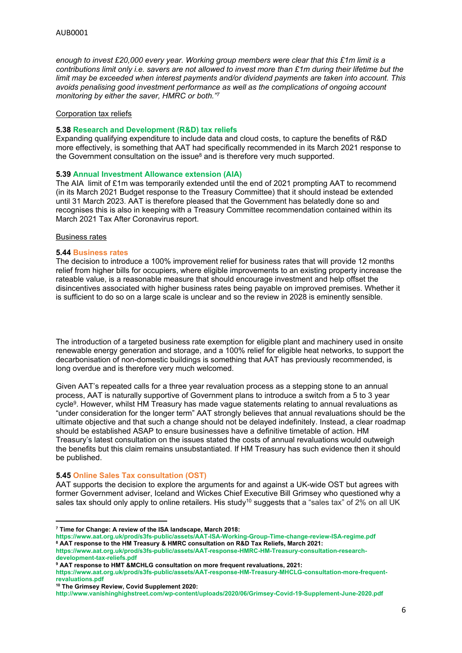*enough to invest £20,000 every year. Working group members were clear that this £1m limit is a* contributions limit only i.e. savers are not allowed to invest more than £1m during their lifetime but the *limit may be exceeded when interest payments and/or dividend payments are taken into account. This avoids penalising good investment performance as well as the complications of ongoing account monitoring by either the saver, HMRC or both."<sup>7</sup>*

# Corporation tax reliefs

#### **5.38 Research and Development (R&D) tax reliefs**

Expanding qualifying expenditure to include data and cloud costs, to capture the benefits of R&D more effectively, is something that AAT had specifically recommended in its March 2021 response to the Government consultation on the issue<sup>8</sup> and is therefore very much supported.

### **5.39 Annual Investment Allowance extension (AIA)**

The AIA limit of £1m was temporarily extended until the end of 2021 prompting AAT to recommend (in its March 2021 Budget response to the Treasury Committee) that it should instead be extended until 31 March 2023. AAT is therefore pleased that the Government has belatedly done so and recognises this is also in keeping with a Treasury Committee recommendation contained within its March 2021 Tax After Coronavirus report.

#### Business rates

#### **5.44 Business rates**

The decision to introduce a 100% improvement relief for business rates that will provide 12 months relief from higher bills for occupiers, where eligible improvements to an existing property increase the rateable value, is a reasonable measure that should encourage investment and help offset the disincentives associated with higher business rates being payable on improved premises. Whether it is sufficient to do so on a large scale is unclear and so the review in 2028 is eminently sensible.

The introduction of a targeted business rate exemption for eligible plant and machinery used in onsite renewable energy generation and storage, and a 100% relief for eligible heat networks, to support the decarbonisation of non-domestic buildings is something that AAT has previously recommended, is long overdue and is therefore very much welcomed.

Given AAT's repeated calls for a three year revaluation process as a stepping stone to an annual process, AAT is naturally supportive of Government plans to introduce a switch from a 5 to 3 year cycle<sup>9</sup>. However, whilst HM Treasury has made vague statements relating to annual revaluations as "under consideration for the longer term" AAT strongly believes that annual revaluations should be the ultimate objective and that such a change should not be delayed indefinitely. Instead, a clear roadmap should be established ASAP to ensure businesses have a definitive timetable of action. HM Treasury's latest consultation on the issues stated the costs of annual revaluations would outweigh the benefits but this claim remains unsubstantiated. If HM Treasury has such evidence then it should be published.

### **5.45 Online Sales Tax consultation (OST)**

AAT supports the decision to explore the arguments for and against a UK-wide OST but agrees with former Government adviser, Iceland and Wickes Chief Executive Bill Grimsey who questioned why a sales tax should only apply to online retailers. His study<sup>10</sup> suggests that a "sales tax" of 2% on all UK

**<https://www.aat.org.uk/prod/s3fs-public/assets/AAT-ISA-Working-Group-Time-change-review-ISA-regime.pdf> <sup>8</sup> AAT response to the HM Treasury & HMRC consultation on R&D Tax Reliefs, March 2021:**

**[https://www.aat.org.uk/prod/s3fs-public/assets/AAT-response-HMRC-HM-Treasury-consultation-research](https://www.aat.org.uk/prod/s3fs-public/assets/AAT-response-HMRC-HM-Treasury-consultation-research-development-tax-reliefs.pdf)[development-tax-reliefs.pdf](https://www.aat.org.uk/prod/s3fs-public/assets/AAT-response-HMRC-HM-Treasury-consultation-research-development-tax-reliefs.pdf)**

**<sup>7</sup> Time for Change: A review of the ISA landscape, March 2018:**

**<sup>9</sup> AAT response to HMT &MCHLG consultation on more frequent revaluations, 2021:**

**[https://www.aat.org.uk/prod/s3fs-public/assets/AAT-response-HM-Treasury-MHCLG-consultation-more-frequent](https://www.aat.org.uk/prod/s3fs-public/assets/AAT-response-HM-Treasury-MHCLG-consultation-more-frequent-revaluations.pdf)[revaluations.pdf](https://www.aat.org.uk/prod/s3fs-public/assets/AAT-response-HM-Treasury-MHCLG-consultation-more-frequent-revaluations.pdf)**

**<sup>10</sup> The Grimsey Review, Covid Supplement 2020:**

**<http://www.vanishinghighstreet.com/wp-content/uploads/2020/06/Grimsey-Covid-19-Supplement-June-2020.pdf>**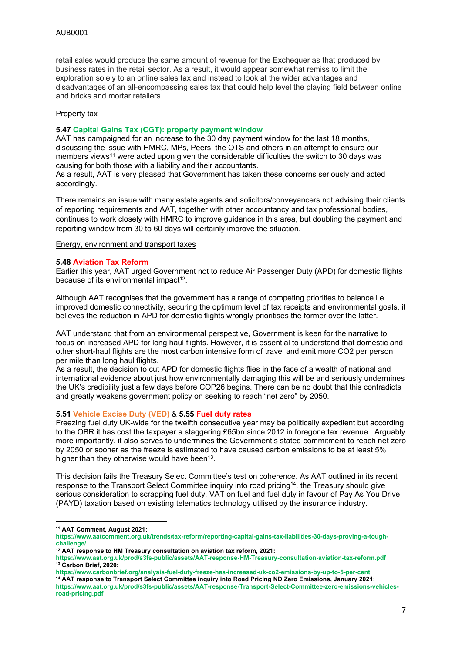retail sales would produce the same amount of revenue for the Exchequer as that produced by business rates in the retail sector. As a result, it would appear somewhat remiss to limit the exploration solely to an online sales tax and instead to look at the wider advantages and disadvantages of an all-encompassing sales tax that could help level the playing field between online and bricks and mortar retailers.

# Property tax

# **5.47 Capital Gains Tax (CGT): property payment window**

AAT has campaigned for an increase to the 30 day payment window for the last 18 months, discussing the issue with HMRC, MPs, Peers, the OTS and others in an attempt to ensure our members views<sup>11</sup> were acted upon given the considerable difficulties the switch to 30 days was causing for both those with a liability and their accountants.

As a result, AAT is very pleased that Government has taken these concerns seriously and acted accordingly.

There remains an issue with many estate agents and solicitors/conveyancers not advising their clients of reporting requirements and AAT, together with other accountancy and tax professional bodies, continues to work closely with HMRC to improve guidance in this area, but doubling the payment and reporting window from 30 to 60 days will certainly improve the situation.

Energy, environment and transport taxes

### **5.48 Aviation Tax Reform**

Earlier this year, AAT urged Government not to reduce Air Passenger Duty (APD) for domestic flights because of its environmental impact<sup>12</sup>.

Although AAT recognises that the government has a range of competing priorities to balance i.e. improved domestic connectivity, securing the optimum level of tax receipts and environmental goals, it believes the reduction in APD for domestic flights wrongly prioritises the former over the latter.

AAT understand that from an environmental perspective, Government is keen for the narrative to focus on increased APD for long haul flights. However, it is essential to understand that domestic and other short-haul flights are the most carbon intensive form of travel and emit more CO2 per person per mile than long haul flights.

As a result, the decision to cut APD for domestic flights flies in the face of a wealth of national and international evidence about just how environmentally damaging this will be and seriously undermines the UK's credibility just a few days before COP26 begins. There can be no doubt that this contradicts and greatly weakens government policy on seeking to reach "net zero" by 2050.

### **5.51 Vehicle Excise Duty (VED)** & **5.55 Fuel duty rates**

Freezing fuel duty UK-wide for the twelfth consecutive year may be politically expedient but according to the OBR it has cost the taxpayer a staggering £65bn since 2012 in foregone tax revenue. Arguably more importantly, it also serves to undermines the Government's stated commitment to reach net zero by 2050 or sooner as the freeze is estimated to have caused carbon emissions to be at least 5% higher than they otherwise would have been<sup>13</sup>.

This decision fails the Treasury Select Committee's test on coherence. As AAT outlined in its recent response to the Transport Select Committee inquiry into road pricing<sup>14</sup>, the Treasury should give serious consideration to scrapping fuel duty, VAT on fuel and fuel duty in favour of Pay As You Drive (PAYD) taxation based on existing telematics technology utilised by the insurance industry.

**<sup>11</sup> AAT Comment, August 2021:**

**[https://www.aatcomment.org.uk/trends/tax-reform/reporting-capital-gains-tax-liabilities-30-days-proving-a-tough](https://www.aatcomment.org.uk/trends/tax-reform/reporting-capital-gains-tax-liabilities-30-days-proving-a-tough-challenge/)[challenge/](https://www.aatcomment.org.uk/trends/tax-reform/reporting-capital-gains-tax-liabilities-30-days-proving-a-tough-challenge/)**

**<sup>12</sup> AAT response to HM Treasury consultation on aviation tax reform, 2021:**

**<https://www.aat.org.uk/prod/s3fs-public/assets/AAT-response-HM-Treasury-consultation-aviation-tax-reform.pdf> <sup>13</sup> Carbon Brief, 2020:**

**<https://www.carbonbrief.org/analysis-fuel-duty-freeze-has-increased-uk-co2-emissions-by-up-to-5-per-cent>**

**<sup>14</sup> AAT response to Transport Select Committee inquiry into Road Pricing ND Zero Emissions, January 2021: [https://www.aat.org.uk/prod/s3fs-public/assets/AAT-response-Transport-Select-Committee-zero-emissions-vehicles](https://www.aat.org.uk/prod/s3fs-public/assets/AAT-response-Transport-Select-Committee-zero-emissions-vehicles-road-pricing.pdf)[road-pricing.pdf](https://www.aat.org.uk/prod/s3fs-public/assets/AAT-response-Transport-Select-Committee-zero-emissions-vehicles-road-pricing.pdf)**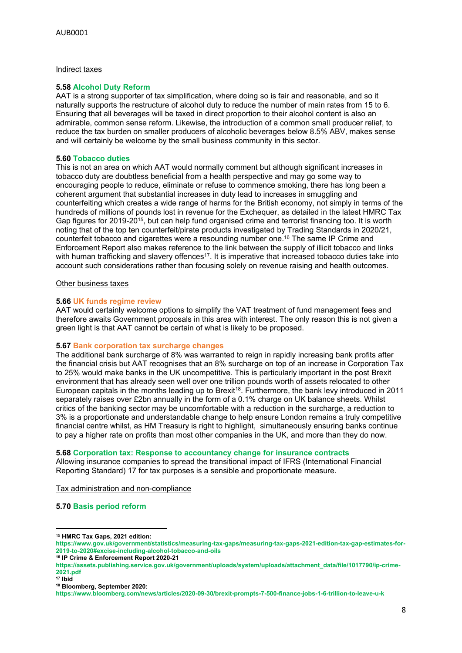#### Indirect taxes

#### **5.58 Alcohol Duty Reform**

AAT is a strong supporter of tax simplification, where doing so is fair and reasonable, and so it naturally supports the restructure of alcohol duty to reduce the number of main rates from 15 to 6. Ensuring that all beverages will be taxed in direct proportion to their alcohol content is also an admirable, common sense reform. Likewise, the introduction of a common small producer relief, to reduce the tax burden on smaller producers of alcoholic beverages below 8.5% ABV, makes sense and will certainly be welcome by the small business community in this sector.

#### **5.60 Tobacco duties**

This is not an area on which AAT would normally comment but although significant increases in tobacco duty are doubtless beneficial from a health perspective and may go some way to encouraging people to reduce, eliminate or refuse to commence smoking, there has long been a coherent argument that substantial increases in duty lead to increases in smuggling and counterfeiting which creates a wide range of harms for the British economy, not simply in terms of the hundreds of millions of pounds lost in revenue for the Exchequer, as detailed in the latest HMRC Tax Gap figures for 2019-20<sup>15</sup>, but can help fund organised crime and terrorist financing too. It is worth noting that of the top ten counterfeit/pirate products investigated by Trading Standards in 2020/21, counterfeit tobacco and cigarettes were a resounding number one.<sup>16</sup> The same IP Crime and Enforcement Report also makes reference to the link between the supply of illicit tobacco and links with human trafficking and slavery offences<sup>17</sup>. It is imperative that increased tobacco duties take into account such considerations rather than focusing solely on revenue raising and health outcomes.

### Other business taxes

#### **5.66 UK funds regime review**

AAT would certainly welcome options to simplify the VAT treatment of fund management fees and therefore awaits Government proposals in this area with interest. The only reason this is not given a green light is that AAT cannot be certain of what is likely to be proposed.

#### **5.67 Bank corporation tax surcharge changes**

The additional bank surcharge of 8% was warranted to reign in rapidly increasing bank profits after the financial crisis but AAT recognises that an 8% surcharge on top of an increase in Corporation Tax to 25% would make banks in the UK uncompetitive. This is particularly important in the post Brexit environment that has already seen well over one trillion pounds worth of assets relocated to other European capitals in the months leading up to Brexit<sup>18</sup>. Furthermore, the bank levy introduced in 2011 separately raises over £2bn annually in the form of a 0.1% charge on UK balance sheets. Whilst critics of the banking sector may be uncomfortable with a reduction in the surcharge, a reduction to 3% is a proportionate and understandable change to help ensure London remains a truly competitive financial centre whilst, as HM Treasury is right to highlight, simultaneously ensuring banks continue to pay a higher rate on profits than most other companies in the UK, and more than they do now.

#### **5.68 Corporation tax: Response to accountancy change for insurance contracts**

Allowing insurance companies to spread the transitional impact of IFRS (International Financial Reporting Standard) 17 for tax purposes is a sensible and proportionate measure.

Tax administration and non-compliance

# **5.70 Basis period reform**

<sup>15</sup> **HMRC Tax Gaps, 2021 edition:**

**[https://www.gov.uk/government/statistics/measuring-tax-gaps/measuring-tax-gaps-2021-edition-tax-gap-estimates-for-](https://www.gov.uk/government/statistics/measuring-tax-gaps/measuring-tax-gaps-2021-edition-tax-gap-estimates-for-2019-to-2020#excise-including-alcohol-tobacco-and-oils)[2019-to-2020#excise-including-alcohol-tobacco-and-oils](https://www.gov.uk/government/statistics/measuring-tax-gaps/measuring-tax-gaps-2021-edition-tax-gap-estimates-for-2019-to-2020#excise-including-alcohol-tobacco-and-oils)**

**<sup>16</sup> IP Crime & Enforcement Report 2020-21**

**[https://assets.publishing.service.gov.uk/government/uploads/system/uploads/attachment\\_data/file/1017790/ip-crime-](https://assets.publishing.service.gov.uk/government/uploads/system/uploads/attachment_data/file/1017790/ip-crime-2021.pdf)[2021.pdf](https://assets.publishing.service.gov.uk/government/uploads/system/uploads/attachment_data/file/1017790/ip-crime-2021.pdf)**

**<sup>17</sup> Ibid**

**<sup>18</sup> Bloomberg, September 2020:**

**<https://www.bloomberg.com/news/articles/2020-09-30/brexit-prompts-7-500-finance-jobs-1-6-trillion-to-leave-u-k>**